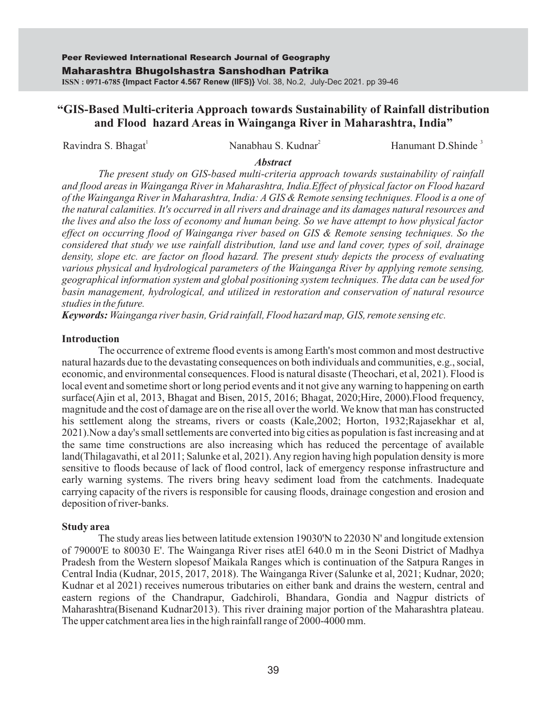# **"GIS-Based Multi-criteria Approach towards Sustainability of Rainfall distribution and Flood hazard Areas in Wainganga River in Maharashtra, India"**

Ravindra S. Bhagat **Nanabhau S. Kudnar** Hanumant D.Shinde<sup>3</sup>

#### *Abstract*

*The present study on GIS-based multi-criteria approach towards sustainability of rainfall and flood areas in Wainganga River in Maharashtra, India.Effect of physical factor on Flood hazard of the Wainganga River in Maharashtra, India: A GIS & Remote sensing techniques. Flood is a one of the natural calamities. It's occurred in all rivers and drainage and its damages natural resources and the lives and also the loss of economy and human being. So we have attempt to how physical factor effect on occurring flood of Wainganga river based on GIS & Remote sensing techniques. So the considered that study we use rainfall distribution, land use and land cover, types of soil, drainage density, slope etc. are factor on flood hazard. The present study depicts the process of evaluating various physical and hydrological parameters of the Wainganga River by applying remote sensing, geographical information system and global positioning system techniques. The data can be used for basin management, hydrological, and utilized in restoration and conservation of natural resource studies in the future.*

*Keywords: Wainganga river basin, Grid rainfall, Flood hazard map, GIS, remote sensing etc.*

## **Introduction**

The occurrence of extreme flood events is among Earth's most common and most destructive natural hazards due to the devastating consequences on both individuals and communities, e.g., social, economic, and environmental consequences. Flood is natural disaste (Theochari, et al, 2021). Flood is local event and sometime short or long period events and it not give any warning to happening on earth surface(Ajin et al, 2013, Bhagat and Bisen, 2015, 2016; Bhagat, 2020;Hire, 2000).Flood frequency, magnitude and the cost of damage are on the rise all over the world. We know that man has constructed his settlement along the streams, rivers or coasts (Kale,2002; Horton, 1932;Rajasekhar et al, 2021).Now a day's small settlements are converted into big cities as population is fast increasing and at the same time constructions are also increasing which has reduced the percentage of available land(Thilagavathi, et al 2011; Salunke et al, 2021). Any region having high population density is more sensitive to floods because of lack of flood control, lack of emergency response infrastructure and early warning systems. The rivers bring heavy sediment load from the catchments. Inadequate carrying capacity of the rivers is responsible for causing floods, drainage congestion and erosion and deposition of river-banks.

#### **Study area**

The study areas lies between latitude extension 19030'N to 22030 N' and longitude extension of 79000'E to 80030 E'. The Wainganga River rises atEl 640.0 m in the Seoni District of Madhya Pradesh from the Western slopesof Maikala Ranges which is continuation of the Satpura Ranges in Central India (Kudnar, 2015, 2017, 2018). The Wainganga River (Salunke et al, 2021; Kudnar, 2020; Kudnar et al 2021) receives numerous tributaries on either bank and drains the western, central and eastern regions of the Chandrapur, Gadchiroli, Bhandara, Gondia and Nagpur districts of Maharashtra(Bisenand Kudnar2013). This river draining major portion of the Maharashtra plateau. The upper catchment area lies in the high rainfall range of 2000-4000 mm.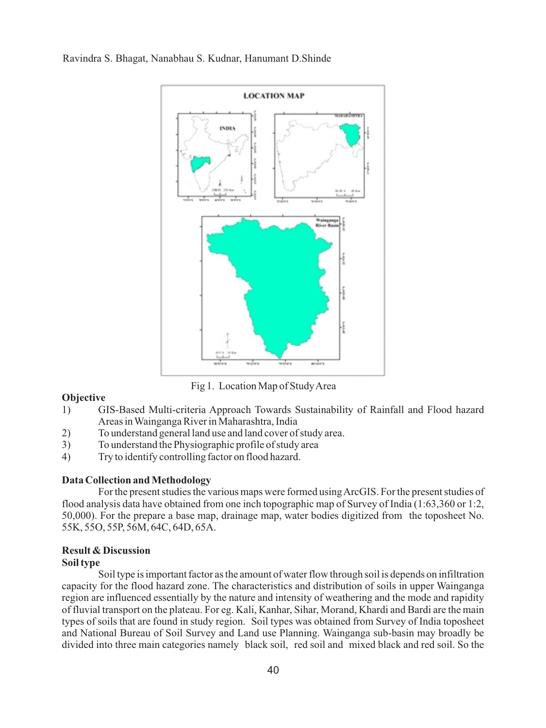

Fig 1. Location Map of Study Area

### **Objective**

- 1) GIS-Based Multi-criteria Approach Towards Sustainability of Rainfall and Flood hazard Areas in Wainganga River in Maharashtra, India
- 2) To understand general land use and land cover of study area.<br>3) To understand the Physiographic profile of study area
- To understand the Physiographic profile of study area
- 4) Try to identify controlling factor on flood hazard.

#### **Data Collection and Methodology**

For the present studies the various maps were formed using ArcGIS. For the present studies of flood analysis data have obtained from one inch topographic map of Survey of India (1:63,360 or 1:2, 50,000). For the prepare a base map, drainage map, water bodies digitized from the toposheet No. 55K, 55O, 55P, 56M, 64C, 64D, 65A.

# **Result & Discussion**

### **Soil type**

Soil type is important factor as the amount of water flow through soil is depends on infiltration capacity for the flood hazard zone. The characteristics and distribution of soils in upper Wainganga region are influenced essentially by the nature and intensity of weathering and the mode and rapidity of fluvial transport on the plateau. For eg. Kali, Kanhar, Sihar, Morand, Khardi and Bardi are the main types of soils that are found in study region. Soil types was obtained from Survey of India toposheet and National Bureau of Soil Survey and Land use Planning. Wainganga sub-basin may broadly be divided into three main categories namely black soil, red soil and mixed black and red soil. So the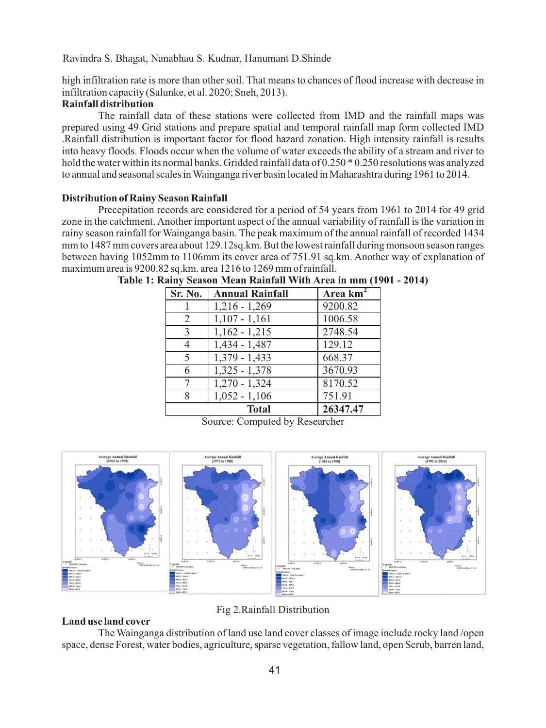high infiltration rate is more than other soil. That means to chances of flood increase with decrease in infiltration capacity (Salunke, et al. 2020; Sneh, 2013).

## **Rainfall distribution**

The rainfall data of these stations were collected from IMD and the rainfall maps was prepared using 49 Grid stations and prepare spatial and temporal rainfall map form collected IMD .Rainfall distribution is important factor for flood hazard zonation. High intensity rainfall is results into heavy floods. Floods occur when the volume of water exceeds the ability of a stream and river to hold the water within its normal banks. Gridded rainfall data of 0.250  $*$  0.250 resolutions was analyzed to annual and seasonal scales in Wainganga river basin located in Maharashtra during 1961 to 2014.

#### **Distribution of Rainy Season Rainfall**

Precepitation records are considered for a period of 54 years from 1961 to 2014 for 49 grid zone in the catchment. Another important aspect of the annual variability of rainfall is the variation in rainy season rainfall for Wainganga basin. The peak maximum of the annual rainfall of recorded 1434 mm to 1487 mm covers area about 129.12sq.km. But the lowest rainfall during monsoon season ranges between having 1052mm to 1106mm its cover area of 751.91 sq.km. Another way of explanation of maximum area is 9200.82 sq.km. area 1216 to 1269 mm of rainfall.

| Sr. No. | <b>Annual Rainfall</b>     | Area $km2$ |
|---------|----------------------------|------------|
|         | $1,216 - 1,269$            | 9200.82    |
| 2       | $1,107 - 1,161$            | 1006.58    |
| 3       | $1,162 - 1,215$            | 2748.54    |
| 4       | $1,434 - 1,487$            | 129.12     |
| 5       | $1,379 - 1,433$            | 668.37     |
| 6       | $1,325 - 1,378$            | 3670.93    |
| 7       | $\frac{1}{270}$ - 1,324    | 8170.52    |
| 8       | $\overline{1,052} - 1,106$ | 751.91     |
|         | <b>Total</b>               | 26347.47   |

**Table 1: Rainy Season Mean Rainfall With Area in mm (1901 - 2014)**

Source: Computed by Researcher



# Fig 2.Rainfall Distribution

## **Land use land cover**

The Wainganga distribution of land use land cover classes of image include rocky land /open space, dense Forest, water bodies, agriculture, sparse vegetation, fallow land, open Scrub, barren land,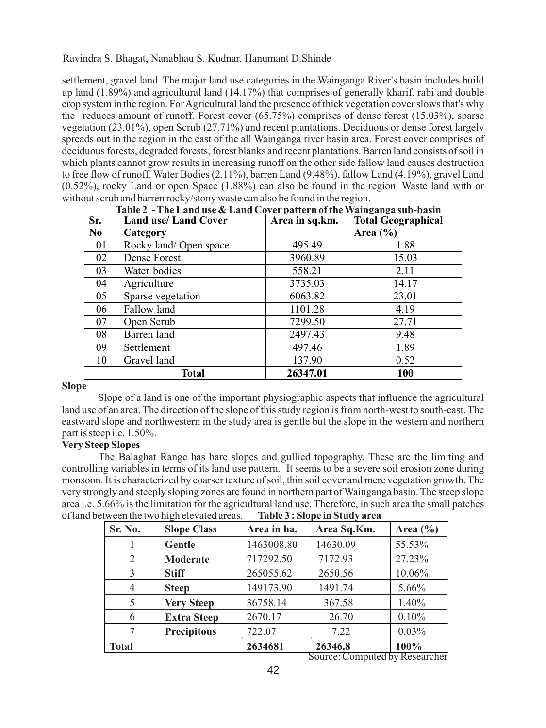settlement, gravel land. The major land use categories in the Wainganga River's basin includes build up land (1.89%) and agricultural land (14.17%) that comprises of generally kharif, rabi and double crop system in the region. For Agricultural land the presence of thick vegetation cover slows that's why the reduces amount of runoff. Forest cover (65.75%) comprises of dense forest (15.03%), sparse vegetation (23.01%), open Scrub (27.71%) and recent plantations. Deciduous or dense forest largely spreads out in the region in the east of the all Wainganga river basin area. Forest cover comprises of deciduous forests, degraded forests, forest blanks and recent plantations. Barren land consists of soil in which plants cannot grow results in increasing runoff on the other side fallow land causes destruction to free flow of runoff. Water Bodies (2.11%), barren Land (9.48%), fallow Land (4.19%), gravel Land (0.52%), rocky Land or open Space (1.88%) can also be found in the region. Waste land with or without scrub and barren rocky/stony waste can also be found in the region.

|                | Table 2 - The Land use & Land Cover pattern of the Wainganga sub-basin |                |                           |  |  |  |  |
|----------------|------------------------------------------------------------------------|----------------|---------------------------|--|--|--|--|
| Sr.            | <b>Land use/Land Cover</b>                                             | Area in sq.km. | <b>Total Geographical</b> |  |  |  |  |
| N <sub>0</sub> | Category                                                               |                | Area $(\% )$              |  |  |  |  |
| 01             | Rocky land/Open space                                                  | 495.49         | 1.88                      |  |  |  |  |
| 02             | Dense Forest                                                           | 3960.89        | 15.03                     |  |  |  |  |
| 03             | Water bodies                                                           | 558.21         | 2.11                      |  |  |  |  |
| 04             | Agriculture                                                            | 3735.03        | 14.17                     |  |  |  |  |
| 05             | Sparse vegetation                                                      | 6063.82        | 23.01                     |  |  |  |  |
| 06             | Fallow land                                                            | 1101.28        | 4.19                      |  |  |  |  |
| 07             | Open Scrub                                                             | 7299.50        | 27.71                     |  |  |  |  |
| 08             | Barren land                                                            | 2497.43        | 9.48                      |  |  |  |  |
| 09             | Settlement                                                             | 497.46         | 1.89                      |  |  |  |  |
| 10             | Gravel land                                                            | 137.90         | 0.52                      |  |  |  |  |
|                | Total                                                                  | 26347.01       | 100                       |  |  |  |  |

#### **Slope**

Slope of a land is one of the important physiographic aspects that influence the agricultural land use of an area. The direction of the slope of this study region is from north-west to south-east. The eastward slope and northwestern in the study area is gentle but the slope in the western and northern part is steep i.e. 1.50%.

## **Very Steep Slopes**

The Balaghat Range has bare slopes and gullied topography. These are the limiting and controlling variables in terms of its land use pattern. It seems to be a severe soil erosion zone during monsoon. It is characterized by coarser texture of soil, thin soil cover and mere vegetation growth. The very strongly and steeply sloping zones are found in northern part of Wainganga basin. The steep slope area i.e. 5.66% is the limitation for the agricultural land use. Therefore, in such area the small patches of land between the two high elevated areas. **Table 3 : Slope in Study area**

| Sr. No.        | <b>Slope Class</b> | Area in ha. | Area Sq.Km. | Area $(\% )$ |
|----------------|--------------------|-------------|-------------|--------------|
|                | Gentle             | 1463008.80  | 14630.09    | 55.53%       |
| 2              | <b>Moderate</b>    | 717292.50   | 7172.93     | 27.23%       |
| 3              | <b>Stiff</b>       | 265055.62   | 2650.56     | 10.06%       |
| $\overline{4}$ | <b>Steep</b>       | 149173.90   | 1491.74     | 5.66%        |
| 5              | <b>Very Steep</b>  | 36758.14    | 367.58      | $1.40\%$     |
| 6              | <b>Extra Steep</b> | 2670.17     | 26.70       | 0.10%        |
|                | <b>Precipitous</b> | 722.07      | 7.22        | 0.03%        |
| <b>Total</b>   |                    | 2634681     | 26346.8     | 100%         |

Source: Computed by Researcher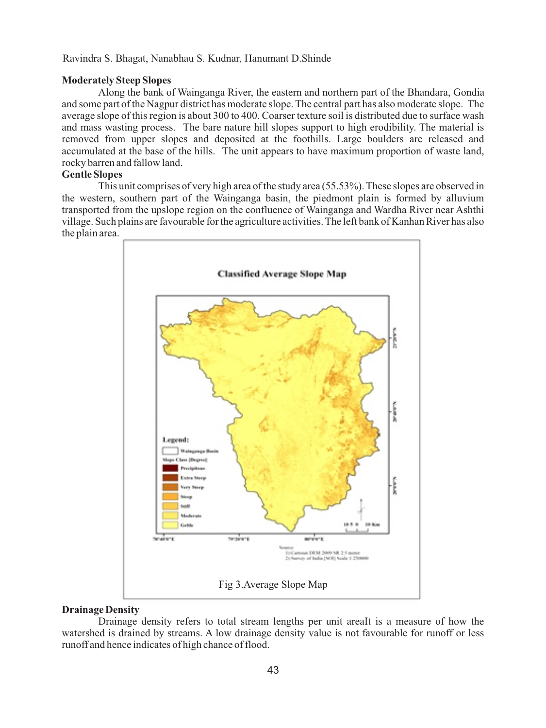## **Moderately Steep Slopes**

Along the bank of Wainganga River, the eastern and northern part of the Bhandara, Gondia and some part of the Nagpur district has moderate slope. The central part has also moderate slope. The average slope of this region is about 300 to 400. Coarser texture soil is distributed due to surface wash and mass wasting process. The bare nature hill slopes support to high erodibility. The material is removed from upper slopes and deposited at the foothills. Large boulders are released and accumulated at the base of the hills. The unit appears to have maximum proportion of waste land, rocky barren and fallow land.

# **Gentle Slopes**

This unit comprises of very high area of the study area (55.53%). These slopes are observed in the western, southern part of the Wainganga basin, the piedmont plain is formed by alluvium transported from the upslope region on the confluence of Wainganga and Wardha River near Ashthi village. Such plains are favourable for the agriculture activities. The left bank of Kanhan River has also the plain area.



## **Drainage Density**

Drainage density refers to total stream lengths per unit areaIt is a measure of how the watershed is drained by streams. A low drainage density value is not favourable for runoff or less runoff and hence indicates of high chance of flood.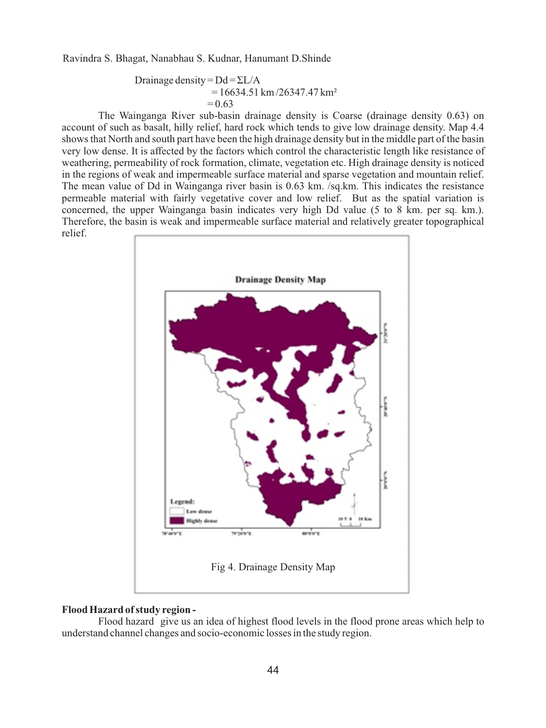Drainage density = 
$$
Dd = \Sigma L/A
$$
  
= 16634.51 km/26347.47 km<sup>2</sup>  
= 0.63

The Wainganga River sub-basin drainage density is Coarse (drainage density 0.63) on account of such as basalt, hilly relief, hard rock which tends to give low drainage density. Map 4.4 shows that North and south part have been the high drainage density but in the middle part of the basin very low dense. It is affected by the factors which control the characteristic length like resistance of weathering, permeability of rock formation, climate, vegetation etc. High drainage density is noticed in the regions of weak and impermeable surface material and sparse vegetation and mountain relief. The mean value of Dd in Wainganga river basin is 0.63 km. /sq.km. This indicates the resistance permeable material with fairly vegetative cover and low relief. But as the spatial variation is concerned, the upper Wainganga basin indicates very high Dd value (5 to 8 km. per sq. km.). Therefore, the basin is weak and impermeable surface material and relatively greater topographical relief.



### **Flood Hazard of study region -**

Flood hazard give us an idea of highest flood levels in the flood prone areas which help to understand channel changes and socio-economic losses in the study region.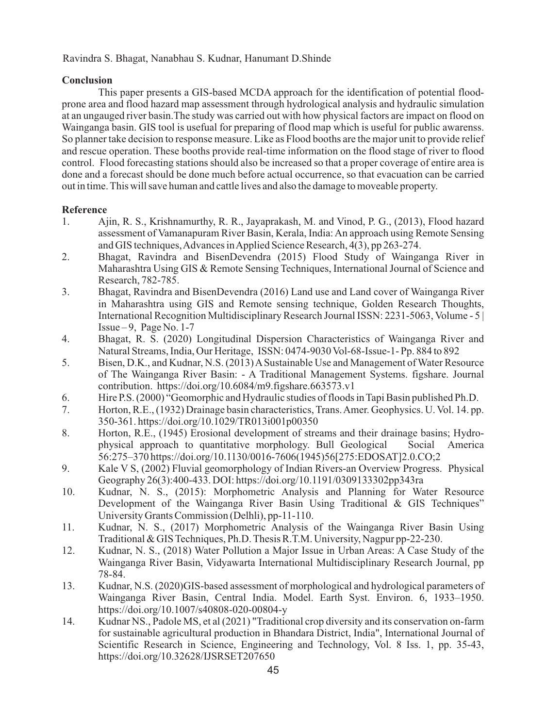# **Conclusion**

This paper presents a GIS-based MCDA approach for the identification of potential floodprone area and flood hazard map assessment through hydrological analysis and hydraulic simulation at an ungauged river basin.The study was carried out with how physical factors are impact on flood on Wainganga basin. GIS tool is usefual for preparing of flood map which is useful for public awarenss. So planner take decision to response measure. Like as Flood booths are the major unit to provide relief and rescue operation. These booths provide real-time information on the flood stage of river to flood control. Flood forecasting stations should also be increased so that a proper coverage of entire area is done and a forecast should be done much before actual occurrence, so that evacuation can be carried out in time. This will save human and cattle lives and also the damage to moveable property.

# **Reference**

- 1. Ajin, R. S., Krishnamurthy, R. R., Jayaprakash, M. and Vinod, P. G., (2013), Flood hazard assessment of Vamanapuram River Basin, Kerala, India: An approach using Remote Sensing and GIS techniques, Advances in Applied Science Research, 4(3), pp 263-274.
- 2. Bhagat, Ravindra and BisenDevendra (2015) Flood Study of Wainganga River in Maharashtra Using GIS & Remote Sensing Techniques, International Journal of Science and Research, 782-785.
- 3. Bhagat, Ravindra and BisenDevendra (2016) Land use and Land cover of Wainganga River in Maharashtra using GIS and Remote sensing technique, Golden Research Thoughts, International Recognition Multidisciplinary Research Journal ISSN: 2231-5063, Volume - 5 | Issue – 9, Page No.  $1-7$
- 4. Bhagat, R. S. (2020) Longitudinal Dispersion Characteristics of Wainganga River and Natural Streams, India, Our Heritage, ISSN: 0474-9030 Vol-68-Issue-1- Pp. 884 to 892
- 5. Bisen, D.K., and Kudnar, N.S. (2013) ASustainable Use and Management of Water Resource of The Wainganga River Basin: - A Traditional Management Systems. figshare. Journal contribution. https://doi.org/10.6084/m9.figshare.663573.v1
- 6. Hire P.S. (2000) "Geomorphic and Hydraulic studies of floods in Tapi Basin published Ph.D.
- 7. Horton, R.E., (1932) Drainage basin characteristics, Trans. Amer. Geophysics. U. Vol. 14. pp. 350-361. https://doi.org/10.1029/TR013i001p00350
- 8. Horton, R.E., (1945) Erosional development of streams and their drainage basins; Hydro-<br>physical approach to quantitative morphology. Bull Geological Social America physical approach to quantitative morphology. Bull Geological 56:275–370 https://doi.org/10.1130/0016-7606(1945)56[275:EDOSAT]2.0.CO;2
- 9. Kale V S, (2002) Fluvial geomorphology of Indian Rivers-an Overview Progress. Physical Geography 26(3):400-433. DOI: https://doi.org/10.1191/0309133302pp343ra
- 10. Kudnar, N. S., (2015): Morphometric Analysis and Planning for Water Resource Development of the Wainganga River Basin Using Traditional & GIS Techniques" University Grants Commission (Delhli), pp-11-110.
- 11. Kudnar, N. S., (2017) Morphometric Analysis of the Wainganga River Basin Using Traditional & GIS Techniques, Ph.D. Thesis R.T.M. University, Nagpur pp-22-230.
- 12. Kudnar, N. S., (2018) Water Pollution a Major Issue in Urban Areas: A Case Study of the Wainganga River Basin, Vidyawarta International Multidisciplinary Research Journal, pp 78-84.
- 13. Kudnar, N.S. (2020)GIS-based assessment of morphological and hydrological parameters of Wainganga River Basin, Central India. Model. Earth Syst. Environ. 6, 1933–1950. https://doi.org/10.1007/s40808-020-00804-y
- 14. Kudnar NS., Padole MS, et al (2021) "Traditional crop diversity and its conservation on-farm for sustainable agricultural production in Bhandara District, India", International Journal of Scientific Research in Science, Engineering and Technology, Vol. 8 Iss. 1, pp. 35-43, https://doi.org/10.32628/IJSRSET207650